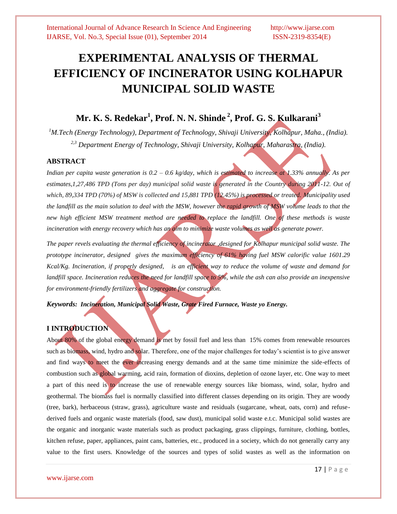# **EXPERIMENTAL ANALYSIS OF THERMAL EFFICIENCY OF INCINERATOR USING KOLHAPUR MUNICIPAL SOLID WASTE**

## **Mr. K. S. Redekar<sup>1</sup> , Prof. N. N. Shinde <sup>2</sup> , Prof. G. S. Kulkarani<sup>3</sup>**

*<sup>1</sup>M.Tech (Energy Technology), Department of Technology, Shivaji University, Kolhapur, Maha., (India). 2,3 Department Energy of Technology, Shivaji University, Kolhapur, Maharastra, (India).*

### **ABSTRACT**

*Indian per capita waste generation is 0.2 – 0.6 kg/day, which is estimated to increase at 1.33% annually. As per*  estimates, 1,27,486 TPD (Tons per day) municipal solid waste is generated in the Country during 2011-12. Out of *which, 89,334 TPD (70%) of MSW is collected and 15,881 TPD (12.45%) is processed or treated. Municipality used the landfill as the main solution to deal with the MSW, however the rapid growth of MSW volume leads to that the new high efficient MSW treatment method are needed to replace the landfill. One of these methods is waste incineration with energy recovery which has an aim to minimize waste volumes as well as generate power.*

*The paper revels evaluating the thermal efficiency of incinerator ,designed for Kolhapur municipal solid waste. The prototype incinerator, designed gives the maximum efficiency of 61% having fuel MSW calorific value 1601.29 Kcal/Kg. Incineration, if properly designed, is an efficient way to reduce the volume of waste and demand for landfill space. Incineration reduces the need for landfill space to 5%*, while the ash can also provide an inexpensive *for environment-friendly fertilizers and aggregate for construction.*

*Keywords: Incineration, Municipal Solid Waste, Grate Fired Furnace, Waste yo Energy.*

### **I INTRODUCTION**

About 80% of the global energy demand is met by fossil fuel and less than 15% comes from renewable resources such as biomass, wind, hydro and solar. Therefore, one of the major challenges for today's scientist is to give answer and find ways to meet the ever increasing energy demands and at the same time minimize the side-effects of combustion such as global warming, acid rain, formation of dioxins, depletion of ozone layer, etc. One way to meet a part of this need is to increase the use of renewable energy sources like biomass, wind, solar, hydro and geothermal. The biomass fuel is normally classified into different classes depending on its origin. They are woody (tree, bark), herbaceous (straw, grass), agriculture waste and residuals (sugarcane, wheat, oats, corn) and refusederived fuels and organic waste materials (food, saw dust), municipal solid waste e.t.c. Municipal solid wastes are the organic and inorganic waste materials such as product packaging, grass clippings, furniture, clothing, bottles, kitchen refuse, paper, appliances, paint cans, batteries, etc., produced in a society, which do not generally carry any value to the first users. Knowledge of the sources and types of solid wastes as well as the information on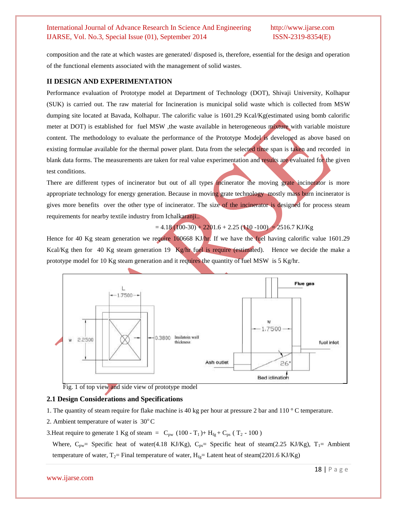composition and the rate at which wastes are generated/ disposed is, therefore, essential for the design and operation of the functional elements associated with the management of solid wastes.

### **II DESIGN AND EXPERIMENTATION**

Performance evaluation of Prototype model at Department of Technology (DOT), Shivaji University, Kolhapur (SUK) is carried out. The raw material for Incineration is municipal solid waste which is collected from MSW dumping site located at Bavada, Kolhapur. The calorific value is 1601.29 Kcal/Kg(estimated using bomb calorific meter at DOT) is established for fuel MSW , the waste available in heterogeneous mixture with variable moisture content. The methodology to evaluate the performance of the Prototype Model is developed as above based on existing formulae available for the thermal power plant. Data from the selected time span is taken and recorded in blank data forms. The measurements are taken for real value experimentation and results are evaluated for the given test conditions.

There are different types of incinerator but out of all types incinerator the moving grate incinerator is more appropriate technology for energy generation. Because in moving grate technology mostly mass burn incinerator is gives more benefits over the other type of incinerator. The size of the incinerator is designed for process steam requirements for nearby textile industry from Ichalkaranji..

 $= 4.18 (100-30) + 2201.6 + 2.25 (110 -100) = 2516.7$  KJ/Kg

Hence for 40 Kg steam generation we require 100668 KJ/hr. If we have the fuel having calorific value 1601.29 Kcal/Kg then for 40 Kg steam generation 19 Kg/hr fuel is require (estimated). Hence we decide the make a prototype model for 10 Kg steam generation and it requires the quantity of fuel MSW is 5 Kg/hr.



Fig. 1 of top view and side view of prototype model

### **2.1 Design Considerations and Specifications**

- 1. The quantity of steam require for flake machine is 40 kg per hour at pressure 2 bar and 110 ° C temperature.
- 2. Ambient temperature of water is  $30^{\circ}$ C
- 3. Heat require to generate 1 Kg of steam =  $C_{pw}$  (100 T<sub>1</sub>)+ H<sub>fg</sub> + C<sub>ps</sub> (T<sub>2</sub> 100)

Where,  $C_{pw}$  Specific heat of water(4.18 KJ/Kg),  $C_{ps}$  Specific heat of steam(2.25 KJ/Kg), T<sub>1</sub> = Ambient temperature of water,  $T_2$ = Final temperature of water,  $H_{fg}$ = Latent heat of steam(2201.6 KJ/Kg)

### www.ijarse.com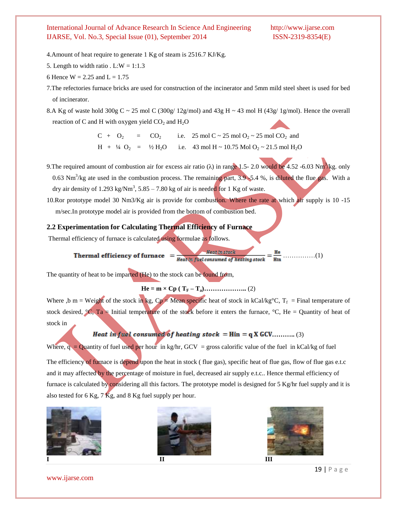- 4.Amount of heat require to generate 1 Kg of steam is 2516.7 KJ/Kg.
- 5. Length to width ratio . L: $W = 1:1.3$
- 6 Hence  $W = 2.25$  and  $L = 1.75$
- 7.The refectories furnace bricks are used for construction of the incinerator and 5mm mild steel sheet is used for bed of incinerator.

8.A Kg of waste hold  $300g$  C ~ 25 mol C ( $300g/12g/mol$ ) and  $43g$  H ~ 43 mol H ( $43g/1g/mol$ ). Hence the overall reaction of C and H with oxygen yield  $CO<sub>2</sub>$  and  $H<sub>2</sub>O$ 

> $C + O_2 = CO_2$  i.e. 25 mol  $C \sim 25$  mol  $O_2 \sim 25$  mol  $CO_2$  and  $H + 44 O_2 = 42 H_2O$  i.e. 43 mol H ~ 10.75 Mol O<sub>2</sub> ~ 21.5 mol H<sub>2</sub>O

9. The required amount of combustion air for excess air ratio ( $\lambda$ ) in range 1.5- 2.0 would be 4.52 -6.03 Nm<sup>3</sup>/kg. only  $0.63$  Nm<sup>3</sup>/kg ate used in the combustion process. The remaining part, 3.9 -5.4 %, is diluted the flue gas. With a dry air density of 1.293 kg/Nm<sup>3</sup>, 5.85 – 7.80 kg of air is needed for 1 Kg of waste.

10.Ror prototype model 30 Nm3/Kg air is provide for combustion. Where the rate at which air supply is 10 -15 m/sec.In prototype model air is provided from the bottom of combustion bed.

## **2.2 Experimentation for Calculating Thermal Efficiency of Furnace**

Thermal efficiency of furnace is calculated using formulae as follows.

# ……………(1)

The quantity of heat to be imparted (He) to the stock can be found from,

**He = m × Cp ( T<sup>F</sup> – Ta)………………..** (2)

Where ,b m = Weight of the stock in kg,  $Cp = Mean$  specific heat of stock in kCal/kg°C,  $T_f$  = Final temperature of stock desired,  ${}^{\circ}C$ , Ta = Initial temperature of the stock before it enters the furnace,  ${}^{\circ}C$ , He = Quantity of heat of stock in

## **Heat in fuel consumed of heating stock =**  $\text{Hin} = q X GCV$ **............ (3)**

Where,  $q =$  Quantity of fuel used per hour in kg/hr, GCV = gross calorific value of the fuel in kCal/kg of fuel

The efficiency of furnace is depend upon the heat in stock (flue gas), specific heat of flue gas, flow of flue gas e.t.c and it may affected by the percentage of moisture in fuel, decreased air supply e.t.c.. Hence thermal efficiency of furnace is calculated by considering all this factors. The prototype model is designed for 5 Kg/hr fuel supply and it is also tested for 6 Kg, 7 Kg, and 8 Kg fuel supply per hour.









www.ijarse.com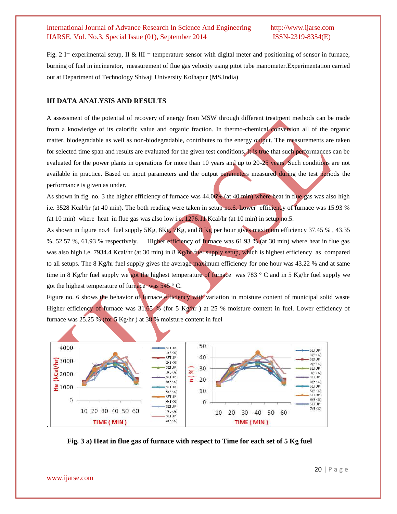Fig. 2 I= experimental setup, II & III = temperature sensor with digital meter and positioning of sensor in furnace, burning of fuel in incinerator, measurement of flue gas velocity using pitot tube manometer.Experimentation carried out at Department of Technology Shivaji University Kolhapur (MS,India)

### **III DATA ANALYSIS AND RESULTS**

A assessment of the potential of recovery of energy from MSW through different treatment methods can be made from a knowledge of its calorific value and organic fraction. In thermo-chemical conversion all of the organic matter, biodegradable as well as non-biodegradable, contributes to the energy output. The measurements are taken for selected time span and results are evaluated for the given test conditions. It is true that such performances can be evaluated for the power plants in operations for more than 10 years and up to 20-25 years. Such conditions are not available in practice. Based on input parameters and the output parameters measured during the test periods the performance is given as under.

As shown in fig. no. 3 the higher efficiency of furnace was 44.06% (at 40 min) where heat in flue gas was also high i.e. 3528 Kcal/hr (at 40 min). The both reading were taken in setup no.6. Lower efficiency of furnace was 15.93 % (at 10 min) where heat in flue gas was also low i.e.  $1276.1$  Kcal/hr (at 10 min) in setup no.5.

As shown in figure no.4 fuel supply 5Kg, 6Kg, 7Kg, and 8 Kg per hour gives maximum efficiency 37.45 % , 43.35 %, 52.57 %, 61.93 % respectively. Higher efficiency of furnace was 61.93 % (at 30 min) where heat in flue gas was also high i.e. 7934.4 Kcal/hr (at 30 min) in 8 Kg/hr fuel supply setup, which is highest efficiency as compared to all setups. The 8 Kg/hr fuel supply gives the average maximum efficiency for one hour was 43.22 % and at same time in 8 Kg/hr fuel supply we got the highest temperature of furnace was 783 ° C and in 5 Kg/hr fuel supply we got the highest temperature of furnace was 545 ° C.

Figure no. 6 shows the behavior of furnace efficiency with variation in moisture content of municipal solid waste Higher efficiency of furnace was 31.65 % (for 5 Kg/hr) at 25 % moisture content in fuel. Lower efficiency of furnace was  $25.25\%$  (for 5 Kg/hr) at 38 % moisture content in fuel



**Fig. 3 a) Heat in flue gas of furnace with respect to Time for each set of 5 Kg fuel**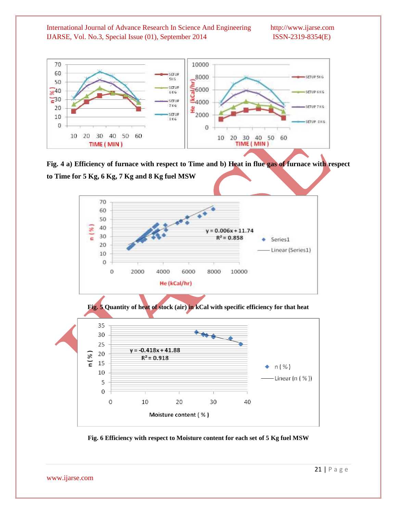

**Fig. 4 a) Efficiency of furnace with respect to Time and b) Heat in flue gas of furnace with respect to Time for 5 Kg, 6 Kg, 7 Kg and 8 Kg fuel MSW**



**Fig. 6 Efficiency with respect to Moisture content for each set of 5 Kg fuel MSW**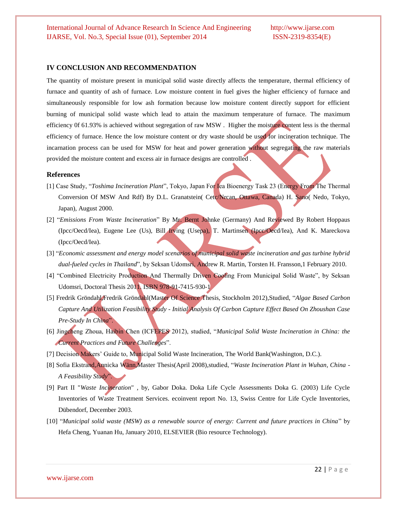### **IV CONCLUSION AND RECOMMENDATION**

The quantity of moisture present in municipal solid waste directly affects the temperature, thermal efficiency of furnace and quantity of ash of furnace. Low moisture content in fuel gives the higher efficiency of furnace and simultaneously responsible for low ash formation because low moisture content directly support for efficient burning of municipal solid waste which lead to attain the maximum temperature of furnace. The maximum efficiency 0f 61.93% is achieved without segregation of raw MSW . Higher the moisture content less is the thermal efficiency of furnace. Hence the low moisture content or dry waste should be used for incineration technique. The incarnation process can be used for MSW for heat and power generation without segregating the raw materials provided the moisture content and excess air in furnace designs are controlled .

### **References**

- [1] Case Study, "*Toshima Incineration Plant*", Tokyo, Japan For Iea Bioenergy Task 23 (Energy From The Thermal Conversion Of MSW And Rdf) By D.L. Granatstein( Cetc/Nrcan, Ottawa, Canada) H. Sano( Nedo, Tokyo, Japan), August 2000.
- [2] "*Emissions From Waste Incineration*" By Mr. Bernt Johnke (Germany) And Reviewed By Robert Hoppaus (Ipcc/Oecd/Iea), Eugene Lee (Us), Bill Irving (Usepa), T. Martinsen (Ipcc/Oecd/Iea), And K. Mareckova (Ipcc/Oecd/Iea).
- [3] "*Economic assessment and energy model scenarios of municipal solid waste incineration and gas turbine hybrid dual-fueled cycles in Thailand*", by Seksan Udomsri, Andrew R. Martin, Torsten H. Fransson,1 February 2010.
- [4] "Combined Electricity Production And Thermally Driven Cooling From Municipal Solid Waste", by Seksan Udomsri, Doctoral Thesis 2011. ISBN 978-91-7415-930-1
- [5] Fredrik Gröndahl,Fredrik Gröndahl(Master Of Science Thesis, Stockholm 2012),Studied, "*Algae Based Carbon Capture And Utilization Feasibility Study - Initial Analysis Of Carbon Capture Effect Based On Zhoushan Case Pre-Study In China*".
- [6] Jingcheng Zhoua, Haibin Chen (ICFEPES 2012), studied, "*Municipal Solid Waste Incineration in China: the Current Practices and Future Challenges*".
- [7] Decision Makers' Guide to, Municipal Solid Waste Incineration, The World Bank(Washington, D.C.).
- [8] Sofia Ekstrand,Annicka Wänn,Master Thesis(April 2008),studied, "*Waste Incineration Plant in Wuhan, China - A Feasibility Study*".
- [9] Part II "*Waste Incineration*" , by, Gabor Doka. Doka Life Cycle Assessments Doka G. (2003) Life Cycle Inventories of Waste Treatment Services. ecoinvent report No. 13, Swiss Centre for Life Cycle Inventories, Dübendorf, December 2003.
- [10] "*Municipal solid waste (MSW) as a renewable source of energy: Current and future practices in China*" by Hefa Cheng, Yuanan Hu, January 2010, ELSEVIER (Bio resource Technology).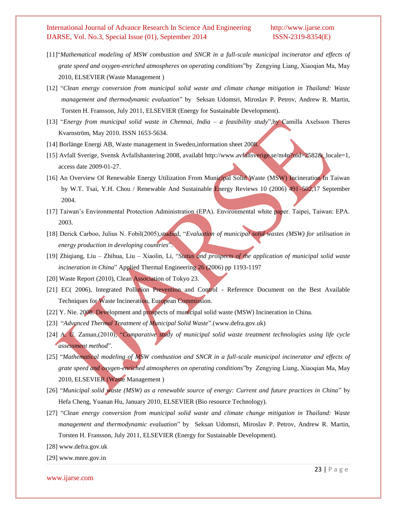- [11]"*Mathematical modeling of MSW combustion and SNCR in a full-scale municipal incinerator and effects of grate speed and oxygen-enriched atmospheres on operating conditions*"by Zengying Liang, Xiaoqian Ma, May 2010, ELSEVIER (Waste Management )
- [12] "*Clean energy conversion from municipal solid waste and climate change mitigation in Thailand: Waste management and thermodynamic evaluation*" by Seksan Udomsri, Miroslav P. Petrov, Andrew R. Martin, Torsten H. Fransson, July 2011, ELSEVIER (Energy for Sustainable Development).
- [13] "*Energy from municipal solid waste in Chennai, India – a feasibility study*",by Camilla Axelsson Theres Kvarnström, May 2010. ISSN 1653-5634.
- [14] Borlänge Energi AB, Waste management in Sweden, information sheet 2008.
- [15] Avfall Sverige, Svensk Avfallshantering 2008, availabl http://www.avfallsverige.se/m4n?oid=2582&\_locale=1, access date 2009-01-27.
- [16] An Overview Of Renewable Energy Utilization From Municipal Solid Waste (MSW) Incineration In Taiwan by W.T. Tsai, Y.H. Chou / Renewable And Sustainable Energy Reviews 10 (2006) 491–502,17 September 2004.
- [17] Taiwan's Environmental Protection Administration (EPA). Environmental white paper. Taipei, Taiwan: EPA. 2003.
- [18] Derick Carboo, Julius N. Fobil(2005),studied, "*Evaluation of municipal solid wastes (MSW) for utilisation in energy production in developing countries*".
- [19] Zhiqiang, Liu Zhihua, Liu Xiaolin, Li, "*Status and prospects of the application of municipal solid waste incineration in China*" Applied Thermal Engineering 26 (2006) pp 1193-1197
- [20] Waste Report (2010), Clean Association of Tokyo 23.
- [21] EC( 2006), Integrated Pollution Prevention and Control Reference Document on the Best Available Techniques for Waste Incineration, European Commission.
- [22] Y. Nie. 2008. Development and prospects of municipal solid waste (MSW) Incineration in China.
- [23] "*Advanced Thermal Treatment of Municipal Solid Waste*".[\(www.defra.gov.uk\)](http://www.defra.gov.uk/)
- [24] A. U. Zaman,(2010), "*Comparative study of municipal solid waste treatment technologies using life cycle assessment method*".
- [25] "*Mathematical modeling of MSW combustion and SNCR in a full-scale municipal incinerator and effects of grate speed and oxygen-enriched atmospheres on operating conditions*"by Zengying Liang, Xiaoqian Ma, May 2010, ELSEVIER (Waste Management )
- [26] "*Municipal solid waste (MSW) as a renewable source of energy: Current and future practices in China*" by Hefa Cheng, Yuanan Hu, January 2010, ELSEVIER (Bio resource Technology).
- [27] "*Clean energy conversion from municipal solid waste and climate change mitigation in Thailand: Waste management and thermodynamic evaluation*" by Seksan Udomsri, Miroslav P. Petrov, Andrew R. Martin, Torsten H. Fransson, July 2011, ELSEVIER (Energy for Sustainable Development).
- [28] [www.defra.gov.uk](http://www.defra.gov.uk/)
- [29] [www.mnre.gov.in](http://www.mnre.gov.in/)

www.ijarse.com